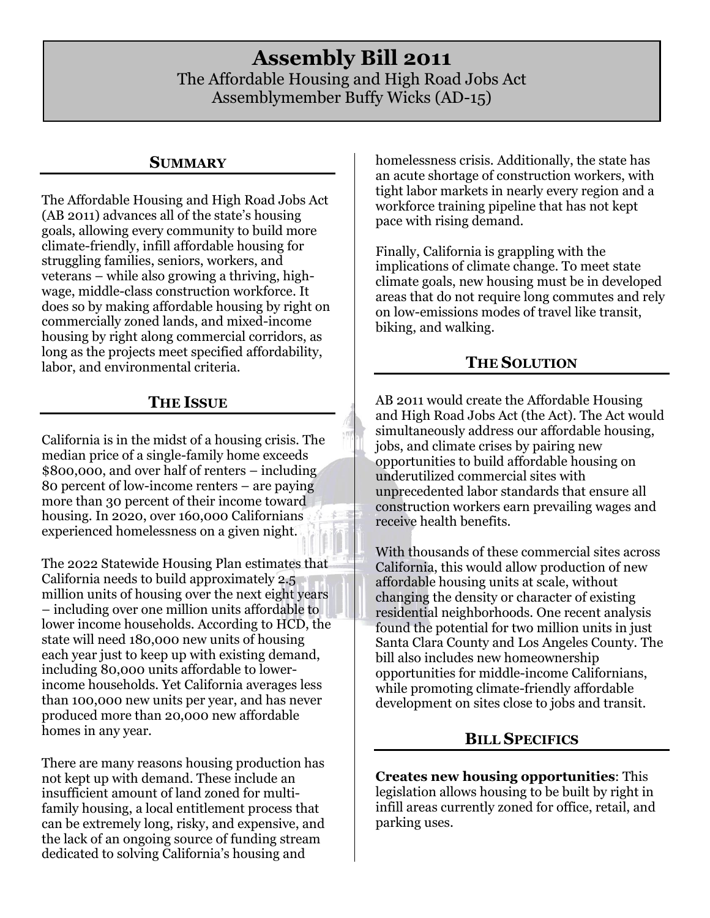# **Assembly Bill 2011** The Affordable Housing and High Road Jobs Act Assemblymember Buffy Wicks (AD-15)

#### **SUMMARY**

The Affordable Housing and High Road Jobs Act (AB 2011) advances all of the state's housing goals, allowing every community to build more climate-friendly, infill affordable housing for struggling families, seniors, workers, and veterans – while also growing a thriving, highwage, middle-class construction workforce. It does so by making affordable housing by right on commercially zoned lands, and mixed-income housing by right along commercial corridors, as long as the projects meet specified affordability, labor, and environmental criteria.

#### **THE ISSUE**

California is in the midst of a housing crisis. The median price of a single-family home exceeds \$800,000, and over half of renters – including 80 percent of low-income renters – are paying more than 30 percent of their income toward housing. In 2020, over 160,000 Californians experienced homelessness on a given night.

The 2022 Statewide Housing Plan estimates that California needs to build approximately 2.5 million units of housing over the next eight years – including over one million units affordable to lower income households. According to HCD, the state will need 180,000 new units of housing each year just to keep up with existing demand, including 80,000 units affordable to lowerincome households. Yet California averages less than 100,000 new units per year, and has never produced more than 20,000 new affordable homes in any year.

There are many reasons housing production has not kept up with demand. These include an insufficient amount of land zoned for multifamily housing, a local entitlement process that can be extremely long, risky, and expensive, and the lack of an ongoing source of funding stream dedicated to solving California's housing and

homelessness crisis. Additionally, the state has an acute shortage of construction workers, with tight labor markets in nearly every region and a workforce training pipeline that has not kept pace with rising demand.

Finally, California is grappling with the implications of climate change. To meet state climate goals, new housing must be in developed areas that do not require long commutes and rely on low-emissions modes of travel like transit, biking, and walking.

# **THE SOLUTION**

AB 2011 would create the Affordable Housing and High Road Jobs Act (the Act). The Act would simultaneously address our affordable housing, jobs, and climate crises by pairing new opportunities to build affordable housing on underutilized commercial sites with unprecedented labor standards that ensure all construction workers earn prevailing wages and receive health benefits.

With thousands of these commercial sites across California, this would allow production of new affordable housing units at scale, without changing the density or character of existing residential neighborhoods. One recent analysis found the potential for two million units in just Santa Clara County and Los Angeles County. The bill also includes new homeownership opportunities for middle-income Californians, while promoting climate-friendly affordable development on sites close to jobs and transit.

# **BILL SPECIFICS**

**Creates new housing opportunities**: This legislation allows housing to be built by right in infill areas currently zoned for office, retail, and parking uses.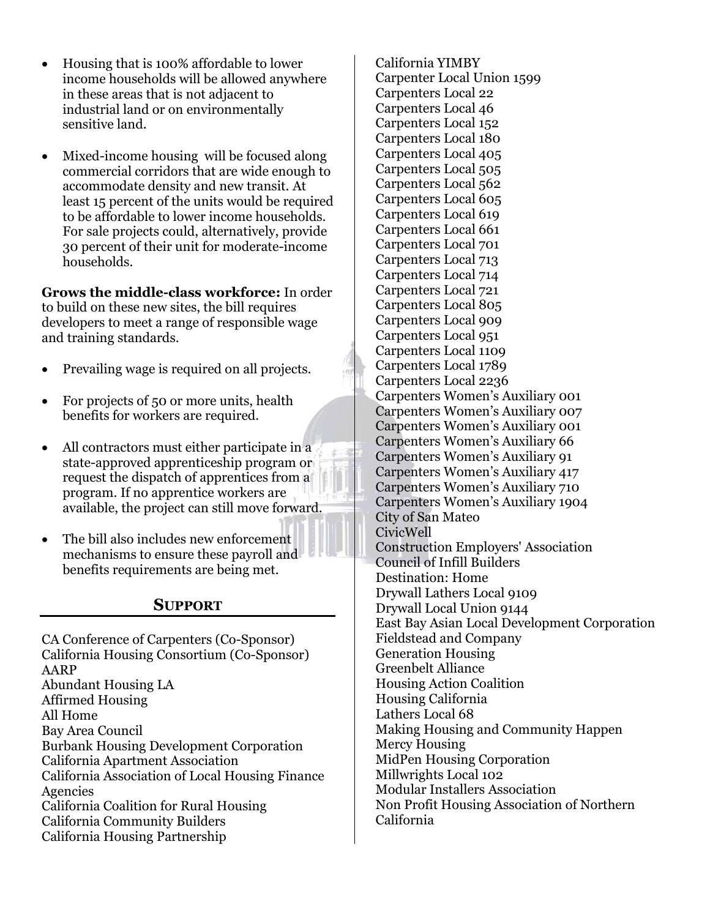- Housing that is 100% affordable to lower income households will be allowed anywhere in these areas that is not adjacent to industrial land or on environmentally sensitive land.
- Mixed-income housing will be focused along commercial corridors that are wide enough to accommodate density and new transit. At least 15 percent of the units would be required to be affordable to lower income households. For sale projects could, alternatively, provide 30 percent of their unit for moderate-income households.

**Grows the middle-class workforce:** In order to build on these new sites, the bill requires developers to meet a range of responsible wage and training standards.

- Prevailing wage is required on all projects.
- For projects of 50 or more units, health benefits for workers are required.
- All contractors must either participate in a state-approved apprenticeship program or request the dispatch of apprentices from a program. If no apprentice workers are available, the project can still move forward.
- The bill also includes new enforcement mechanisms to ensure these payroll and benefits requirements are being met.

# **SUPPORT**

CA Conference of Carpenters (Co-Sponsor) California Housing Consortium (Co-Sponsor) AARP Abundant Housing LA Affirmed Housing All Home Bay Area Council Burbank Housing Development Corporation California Apartment Association California Association of Local Housing Finance Agencies California Coalition for Rural Housing California Community Builders California Housing Partnership

California YIMBY Carpenter Local Union 1599 Carpenters Local 22 Carpenters Local 46 Carpenters Local 152 Carpenters Local 180 Carpenters Local 405 Carpenters Local 505 Carpenters Local 562 Carpenters Local 605 Carpenters Local 619 Carpenters Local 661 Carpenters Local 701 Carpenters Local 713 Carpenters Local 714 Carpenters Local 721 Carpenters Local 805 Carpenters Local 909 Carpenters Local 951 Carpenters Local 1109 Carpenters Local 1789 Carpenters Local 2236 Carpenters Women's Auxiliary 001 Carpenters Women's Auxiliary 007 Carpenters Women's Auxiliary 001 Carpenters Women's Auxiliary 66 Carpenters Women's Auxiliary 91 Carpenters Women's Auxiliary 417 Carpenters Women's Auxiliary 710 Carpenters Women's Auxiliary 1904 City of San Mateo CivicWell Construction Employers' Association Council of Infill Builders Destination: Home Drywall Lathers Local 9109 Drywall Local Union 9144 East Bay Asian Local Development Corporation Fieldstead and Company Generation Housing Greenbelt Alliance Housing Action Coalition Housing California Lathers Local 68 Making Housing and Community Happen Mercy Housing MidPen Housing Corporation Millwrights Local 102 Modular Installers Association Non Profit Housing Association of Northern California